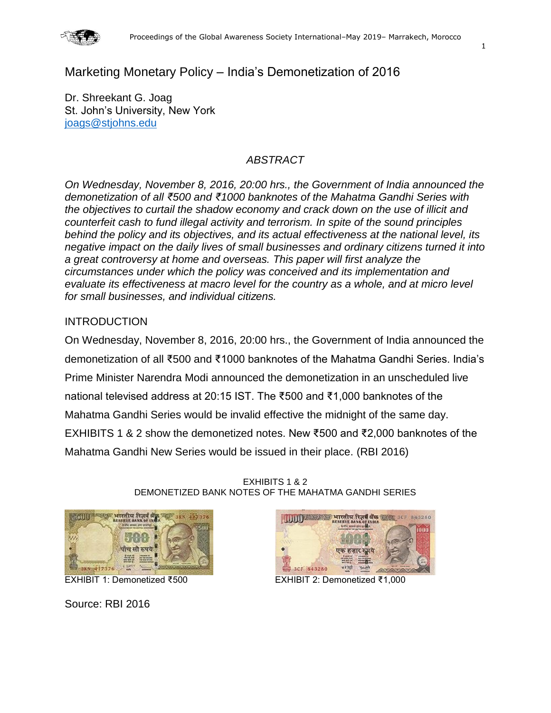

# Marketing Monetary Policy – India's Demonetization of 2016

Dr. Shreekant G. Joag St. John's University, New York [joags@stjohns.edu](mailto:joags@stjohns.edu)

# *ABSTRACT*

*On Wednesday, November 8, 2016, 20:00 hrs., the Government of India announced the demonetization of all ₹500 and ₹1000 banknotes of the Mahatma Gandhi Series with the objectives to curtail the shadow economy and crack down on the use of illicit and counterfeit cash to fund illegal activity and terrorism. In spite of the sound principles behind the policy and its objectives, and its actual effectiveness at the national level, its negative impact on the daily lives of small businesses and ordinary citizens turned it into a great controversy at home and overseas. This paper will first analyze the circumstances under which the policy was conceived and its implementation and evaluate its effectiveness at macro level for the country as a whole, and at micro level for small businesses, and individual citizens.*

## INTRODUCTION

On Wednesday, November 8, 2016, 20:00 hrs., the Government of India announced the demonetization of all ₹500 and ₹1000 banknotes of the Mahatma Gandhi Series. India's Prime Minister Narendra Modi announced the demonetization in an unscheduled live national televised address at 20:15 IST. The ₹500 and ₹1,000 banknotes of the Mahatma Gandhi Series would be invalid effective the midnight of the same day. EXHIBITS 1 & 2 show the demonetized notes. New ₹500 and ₹2,000 banknotes of the Mahatma Gandhi New Series would be issued in their place. (RBI 2016)



EXHIBITS 1 & 2 DEMONETIZED BANK NOTES OF THE MAHATMA GANDHI SERIES

Source: RBI 2016



EXHIBIT 1: Demonetized ₹500 EXHIBIT 2: Demonetized ₹1,000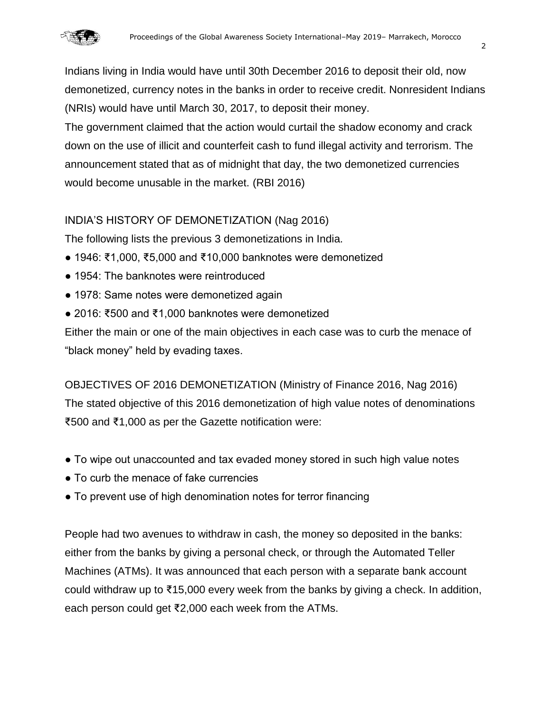

Indians living in India would have until 30th December 2016 to deposit their old, now demonetized, currency notes in the banks in order to receive credit. Nonresident Indians (NRIs) would have until March 30, 2017, to deposit their money.

The government claimed that the action would curtail the shadow economy and crack down on the use of illicit and counterfeit cash to fund illegal activity and terrorism. The announcement stated that as of midnight that day, the two demonetized currencies would become unusable in the market. (RBI 2016)

# INDIA'S HISTORY OF DEMONETIZATION (Nag 2016)

The following lists the previous 3 demonetizations in India.

- 1946: ₹1,000, ₹5,000 and ₹10,000 banknotes were demonetized
- 1954: The banknotes were reintroduced
- 1978: Same notes were demonetized again
- 2016: ₹500 and ₹1,000 banknotes were demonetized

Either the main or one of the main objectives in each case was to curb the menace of "black money" held by evading taxes.

OBJECTIVES OF 2016 DEMONETIZATION (Ministry of Finance 2016, Nag 2016) The stated objective of this 2016 demonetization of high value notes of denominations ₹500 and ₹1,000 as per the Gazette notification were:

- To wipe out unaccounted and tax evaded money stored in such high value notes
- To curb the menace of fake currencies
- To prevent use of high denomination notes for terror financing

People had two avenues to withdraw in cash, the money so deposited in the banks: either from the banks by giving a personal check, or through the Automated Teller Machines (ATMs). It was announced that each person with a separate bank account could withdraw up to ₹15,000 every week from the banks by giving a check. In addition, each person could get ₹2,000 each week from the ATMs.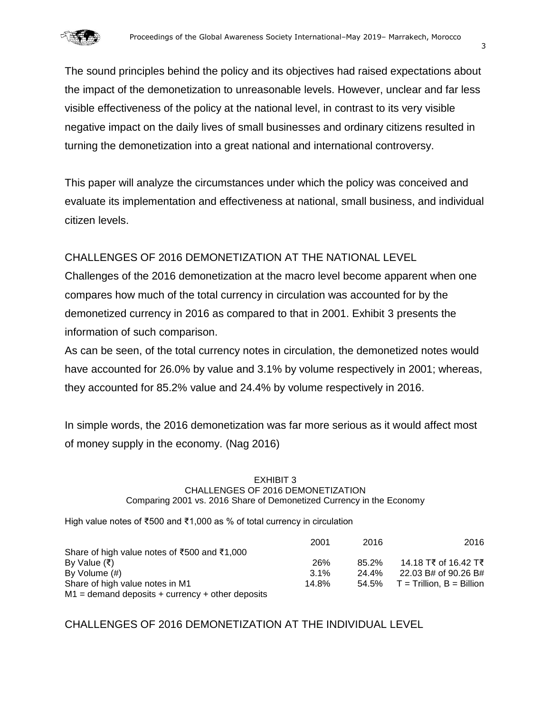

The sound principles behind the policy and its objectives had raised expectations about the impact of the demonetization to unreasonable levels. However, unclear and far less visible effectiveness of the policy at the national level, in contrast to its very visible negative impact on the daily lives of small businesses and ordinary citizens resulted in turning the demonetization into a great national and international controversy.

This paper will analyze the circumstances under which the policy was conceived and evaluate its implementation and effectiveness at national, small business, and individual citizen levels.

## CHALLENGES OF 2016 DEMONETIZATION AT THE NATIONAL LEVEL

Challenges of the 2016 demonetization at the macro level become apparent when one compares how much of the total currency in circulation was accounted for by the demonetized currency in 2016 as compared to that in 2001. Exhibit 3 presents the information of such comparison.

As can be seen, of the total currency notes in circulation, the demonetized notes would have accounted for 26.0% by value and 3.1% by volume respectively in 2001; whereas, they accounted for 85.2% value and 24.4% by volume respectively in 2016.

In simple words, the 2016 demonetization was far more serious as it would affect most of money supply in the economy. (Nag 2016)

### EXHIBIT 3 CHALLENGES OF 2016 DEMONETIZATION Comparing 2001 vs. 2016 Share of Demonetized Currency in the Economy

High value notes of ₹500 and ₹1,000 as % of total currency in circulation

|                                                    | 2001  | 2016  | 2016                        |
|----------------------------------------------------|-------|-------|-----------------------------|
| Share of high value notes of ₹500 and ₹1,000       |       |       |                             |
| By Value (₹)                                       | 26%   | 85.2% | 14.18 T₹ of 16.42 T₹        |
| By Volume (#)                                      | 3.1%  | 24.4% | 22.03 B# of 90.26 B#        |
| Share of high value notes in M1                    | 14.8% | 54.5% | $T =$ Trillion, B = Billion |
| $M1$ = demand deposits + currency + other deposits |       |       |                             |

CHALLENGES OF 2016 DEMONETIZATION AT THE INDIVIDUAL LEVEL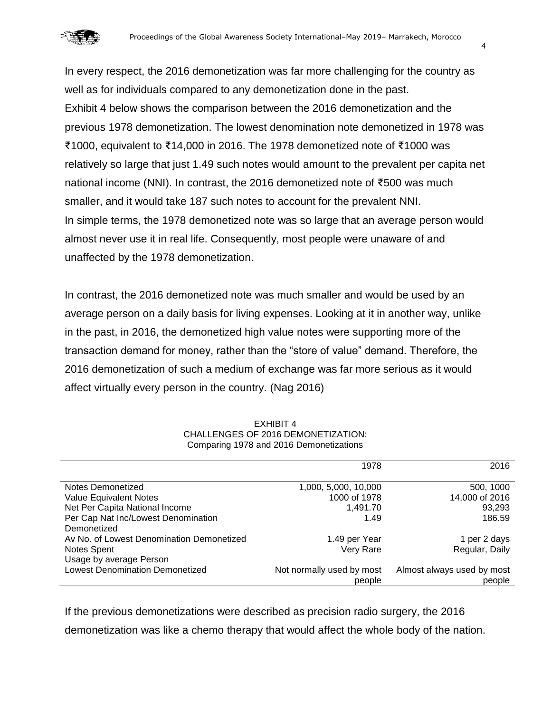

In every respect, the 2016 demonetization was far more challenging for the country as well as for individuals compared to any demonetization done in the past. Exhibit 4 below shows the comparison between the 2016 demonetization and the previous 1978 demonetization. The lowest denomination note demonetized in 1978 was ₹1000, equivalent to ₹14,000 in 2016. The 1978 demonetized note of ₹1000 was relatively so large that just 1.49 such notes would amount to the prevalent per capita net national income (NNI). In contrast, the 2016 demonetized note of ₹500 was much smaller, and it would take 187 such notes to account for the prevalent NNI. In simple terms, the 1978 demonetized note was so large that an average person would almost never use it in real life. Consequently, most people were unaware of and unaffected by the 1978 demonetization.

In contrast, the 2016 demonetized note was much smaller and would be used by an average person on a daily basis for living expenses. Looking at it in another way, unlike in the past, in 2016, the demonetized high value notes were supporting more of the transaction demand for money, rather than the "store of value" demand. Therefore, the 2016 demonetization of such a medium of exchange was far more serious as it would affect virtually every person in the country. (Nag 2016)

|                                           | 1978                      | 2016                       |
|-------------------------------------------|---------------------------|----------------------------|
| Notes Demonetized                         | 1,000, 5,000, 10,000      | 500, 1000                  |
| Value Equivalent Notes                    | 1000 of 1978              | 14,000 of 2016             |
| Net Per Capita National Income            | 1,491.70                  | 93,293                     |
| Per Cap Nat Inc/Lowest Denomination       | 1.49                      | 186.59                     |
| Demonetized                               |                           |                            |
| Av No. of Lowest Denomination Demonetized | 1.49 per Year             | 1 per 2 days               |
| Notes Spent                               | Very Rare                 | Regular, Daily             |
| Usage by average Person                   |                           |                            |
| <b>Lowest Denomination Demonetized</b>    | Not normally used by most | Almost always used by most |
|                                           | people                    | people                     |

EXHIBIT 4 CHALLENGES OF 2016 DEMONETIZATION: Comparing 1978 and 2016 Demonetizations

If the previous demonetizations were described as precision radio surgery, the 2016 demonetization was like a chemo therapy that would affect the whole body of the nation.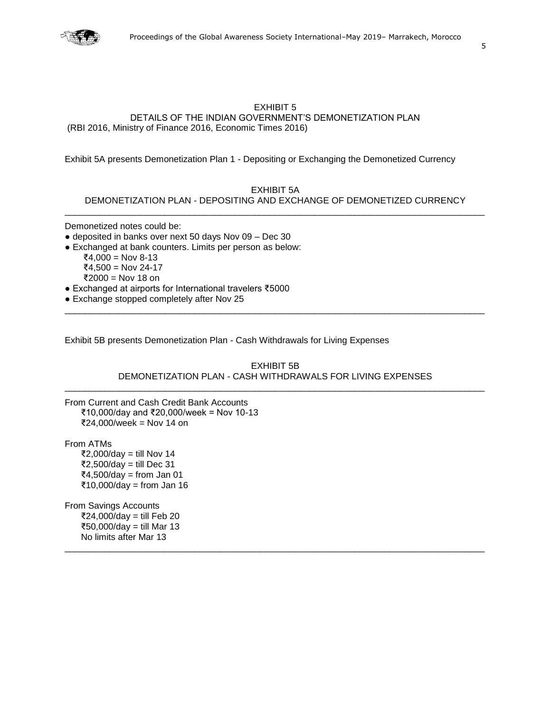

### EXHIBIT 5 DETAILS OF THE INDIAN GOVERNMENT'S DEMONETIZATION PLAN (RBI 2016, Ministry of Finance 2016, Economic Times 2016)

Exhibit 5A presents Demonetization Plan 1 - Depositing or Exchanging the Demonetized Currency

### EXHIBIT 5A

DEMONETIZATION PLAN - DEPOSITING AND EXCHANGE OF DEMONETIZED CURRENCY \_\_\_\_\_\_\_\_\_\_\_\_\_\_\_\_\_\_\_\_\_\_\_\_\_\_\_\_\_\_\_\_\_\_\_\_\_\_\_\_\_\_\_\_\_\_\_\_\_\_\_\_\_\_\_\_\_\_\_\_\_\_\_\_\_\_\_\_\_\_\_\_\_\_\_\_\_\_\_\_\_\_\_\_

Demonetized notes could be:

- $\bullet$  deposited in banks over next 50 days Nov 09 Dec 30
- Exchanged at bank counters. Limits per person as below:
	- ₹4,000 = Nov 8-13 ₹4,500 = Nov 24-17 ₹2000 = Nov 18 on
- Exchanged at airports for International travelers ₹5000
- Exchange stopped completely after Nov 25

Exhibit 5B presents Demonetization Plan - Cash Withdrawals for Living Expenses

EXHIBIT 5B DEMONETIZATION PLAN - CASH WITHDRAWALS FOR LIVING EXPENSES \_\_\_\_\_\_\_\_\_\_\_\_\_\_\_\_\_\_\_\_\_\_\_\_\_\_\_\_\_\_\_\_\_\_\_\_\_\_\_\_\_\_\_\_\_\_\_\_\_\_\_\_\_\_\_\_\_\_\_\_\_\_\_\_\_\_\_\_\_\_\_\_\_\_\_\_\_\_\_\_\_\_\_\_

\_\_\_\_\_\_\_\_\_\_\_\_\_\_\_\_\_\_\_\_\_\_\_\_\_\_\_\_\_\_\_\_\_\_\_\_\_\_\_\_\_\_\_\_\_\_\_\_\_\_\_\_\_\_\_\_\_\_\_\_\_\_\_\_\_\_\_\_\_\_\_\_\_\_\_\_\_\_\_\_\_\_\_\_

\_\_\_\_\_\_\_\_\_\_\_\_\_\_\_\_\_\_\_\_\_\_\_\_\_\_\_\_\_\_\_\_\_\_\_\_\_\_\_\_\_\_\_\_\_\_\_\_\_\_\_\_\_\_\_\_\_\_\_\_\_\_\_\_\_\_\_\_\_\_\_\_\_\_\_\_\_\_\_\_\_\_\_\_

From Current and Cash Credit Bank Accounts ₹10,000/day and ₹20,000/week = Nov 10-13 ₹24,000/week = Nov 14 on

From ATMs ₹2,000/day = till Nov 14 ₹2,500/day = till Dec 31 ₹4,500/day = from Jan 01 ₹10,000/day = from Jan 16

From Savings Accounts ₹24,000/day = till Feb 20 ₹50,000/day = till Mar 13 No limits after Mar 13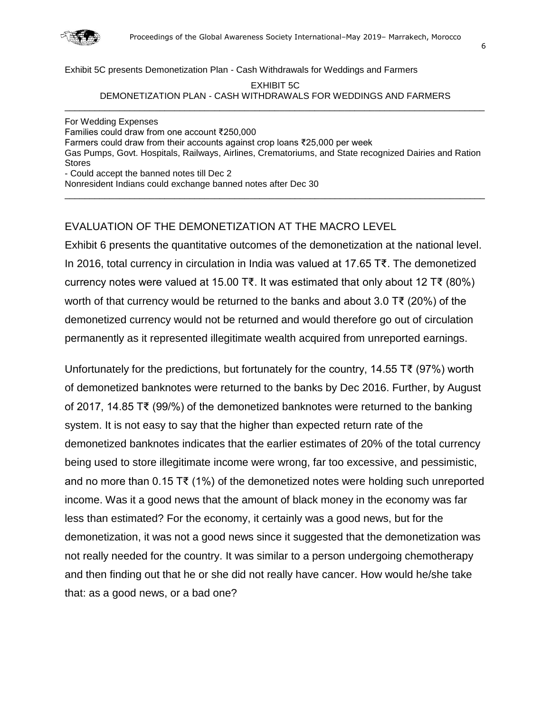

Exhibit 5C presents Demonetization Plan - Cash Withdrawals for Weddings and Farmers

EXHIBIT 5C DEMONETIZATION PLAN - CASH WITHDRAWALS FOR WEDDINGS AND FARMERS \_\_\_\_\_\_\_\_\_\_\_\_\_\_\_\_\_\_\_\_\_\_\_\_\_\_\_\_\_\_\_\_\_\_\_\_\_\_\_\_\_\_\_\_\_\_\_\_\_\_\_\_\_\_\_\_\_\_\_\_\_\_\_\_\_\_\_\_\_\_\_\_\_\_\_\_\_\_\_\_\_\_\_\_

For Wedding Expenses Families could draw from one account ₹250,000 Farmers could draw from their accounts against crop loans ₹25,000 per week Gas Pumps, Govt. Hospitals, Railways, Airlines, Crematoriums, and State recognized Dairies and Ration Stores - Could accept the banned notes till Dec 2

\_\_\_\_\_\_\_\_\_\_\_\_\_\_\_\_\_\_\_\_\_\_\_\_\_\_\_\_\_\_\_\_\_\_\_\_\_\_\_\_\_\_\_\_\_\_\_\_\_\_\_\_\_\_\_\_\_\_\_\_\_\_\_\_\_\_\_\_\_\_\_\_\_\_\_\_\_\_\_\_\_\_\_\_

Nonresident Indians could exchange banned notes after Dec 30

# EVALUATION OF THE DEMONETIZATION AT THE MACRO LEVEL

Exhibit 6 presents the quantitative outcomes of the demonetization at the national level. In 2016, total currency in circulation in India was valued at 17.65 T₹. The demonetized currency notes were valued at 15.00 T₹. It was estimated that only about 12 T₹ (80%) worth of that currency would be returned to the banks and about 3.0 T₹ (20%) of the demonetized currency would not be returned and would therefore go out of circulation permanently as it represented illegitimate wealth acquired from unreported earnings.

Unfortunately for the predictions, but fortunately for the country, 14.55 T₹ (97%) worth of demonetized banknotes were returned to the banks by Dec 2016. Further, by August of 2017, 14.85 T₹ (99/%) of the demonetized banknotes were returned to the banking system. It is not easy to say that the higher than expected return rate of the demonetized banknotes indicates that the earlier estimates of 20% of the total currency being used to store illegitimate income were wrong, far too excessive, and pessimistic, and no more than 0.15 T₹ (1%) of the demonetized notes were holding such unreported income. Was it a good news that the amount of black money in the economy was far less than estimated? For the economy, it certainly was a good news, but for the demonetization, it was not a good news since it suggested that the demonetization was not really needed for the country. It was similar to a person undergoing chemotherapy and then finding out that he or she did not really have cancer. How would he/she take that: as a good news, or a bad one?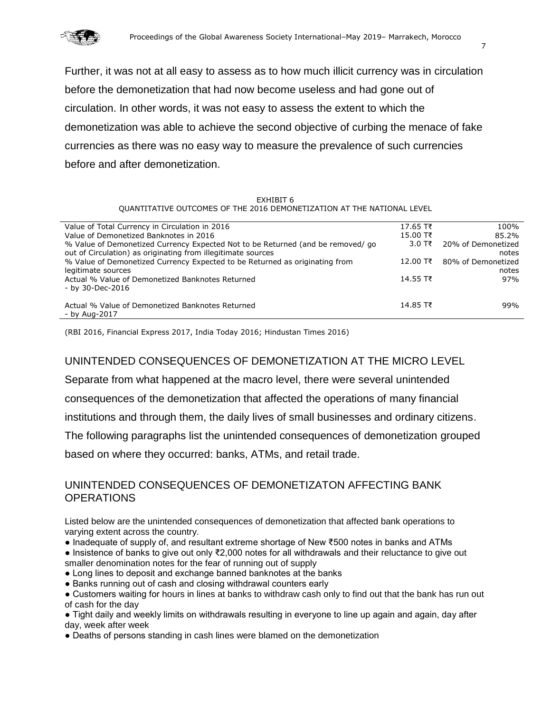

Further, it was not at all easy to assess as to how much illicit currency was in circulation before the demonetization that had now become useless and had gone out of circulation. In other words, it was not easy to assess the extent to which the demonetization was able to achieve the second objective of curbing the menace of fake currencies as there was no easy way to measure the prevalence of such currencies before and after demonetization.

#### EXHIBIT 6 QUANTITATIVE OUTCOMES OF THE 2016 DEMONETIZATION AT THE NATIONAL LEVEL

| Value of Total Currency in Circulation in 2016                                  | $17.65$ T₹ | 100%               |
|---------------------------------------------------------------------------------|------------|--------------------|
| Value of Demonetized Banknotes in 2016                                          | $15.00$ T₹ | 85.2%              |
| % Value of Demonetized Currency Expected Not to be Returned (and be removed/ go | 3.0 T₹     | 20% of Demonetized |
| out of Circulation) as originating from illegitimate sources                    |            | notes              |
| % Value of Demonetized Currency Expected to be Returned as originating from     | $12.00$ T₹ | 80% of Demonetized |
| legitimate sources                                                              |            | notes              |
| Actual % Value of Demonetized Banknotes Returned                                | 14.55 T₹   | 97%                |
| - by 30-Dec-2016                                                                |            |                    |
|                                                                                 |            |                    |
| Actual % Value of Demonetized Banknotes Returned                                | $14.85$ T  | 99%                |
| - by Aug-2017                                                                   |            |                    |

(RBI 2016, Financial Express 2017, India Today 2016; Hindustan Times 2016)

# UNINTENDED CONSEQUENCES OF DEMONETIZATION AT THE MICRO LEVEL

Separate from what happened at the macro level, there were several unintended

consequences of the demonetization that affected the operations of many financial

institutions and through them, the daily lives of small businesses and ordinary citizens.

The following paragraphs list the unintended consequences of demonetization grouped

based on where they occurred: banks, ATMs, and retail trade.

# UNINTENDED CONSEQUENCES OF DEMONETIZATON AFFECTING BANK **OPERATIONS**

Listed below are the unintended consequences of demonetization that affected bank operations to varying extent across the country.

- Inadequate of supply of, and resultant extreme shortage of New ₹500 notes in banks and ATMs
- Insistence of banks to give out only ₹2,000 notes for all withdrawals and their reluctance to give out smaller denomination notes for the fear of running out of supply
- Long lines to deposit and exchange banned banknotes at the banks
- Banks running out of cash and closing withdrawal counters early
- Customers waiting for hours in lines at banks to withdraw cash only to find out that the bank has run out of cash for the day
- Tight daily and weekly limits on withdrawals resulting in everyone to line up again and again, day after day, week after week
- Deaths of persons standing in cash lines were blamed on the demonetization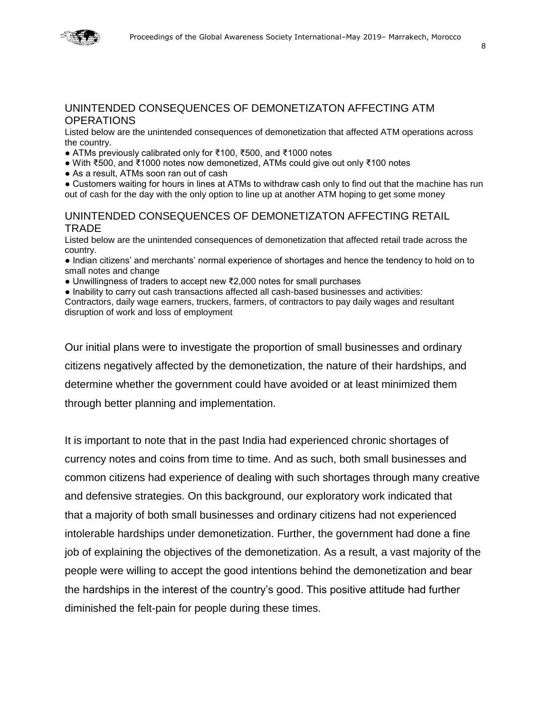

## UNINTENDED CONSEQUENCES OF DEMONETIZATON AFFECTING ATM **OPERATIONS**

Listed below are the unintended consequences of demonetization that affected ATM operations across the country.

- ATMs previously calibrated only for ₹100, ₹500, and ₹1000 notes
- With ₹500, and ₹1000 notes now demonetized, ATMs could give out only ₹100 notes
- As a result, ATMs soon ran out of cash

• Customers waiting for hours in lines at ATMs to withdraw cash only to find out that the machine has run out of cash for the day with the only option to line up at another ATM hoping to get some money

## UNINTENDED CONSEQUENCES OF DEMONETIZATON AFFECTING RETAIL TRADE

Listed below are the unintended consequences of demonetization that affected retail trade across the country.

● Indian citizens' and merchants' normal experience of shortages and hence the tendency to hold on to small notes and change

- Unwillingness of traders to accept new ₹2,000 notes for small purchases
- Inability to carry out cash transactions affected all cash-based businesses and activities:

Contractors, daily wage earners, truckers, farmers, of contractors to pay daily wages and resultant disruption of work and loss of employment

Our initial plans were to investigate the proportion of small businesses and ordinary citizens negatively affected by the demonetization, the nature of their hardships, and determine whether the government could have avoided or at least minimized them through better planning and implementation.

It is important to note that in the past India had experienced chronic shortages of currency notes and coins from time to time. And as such, both small businesses and common citizens had experience of dealing with such shortages through many creative and defensive strategies. On this background, our exploratory work indicated that that a majority of both small businesses and ordinary citizens had not experienced intolerable hardships under demonetization. Further, the government had done a fine job of explaining the objectives of the demonetization. As a result, a vast majority of the people were willing to accept the good intentions behind the demonetization and bear the hardships in the interest of the country's good. This positive attitude had further diminished the felt-pain for people during these times.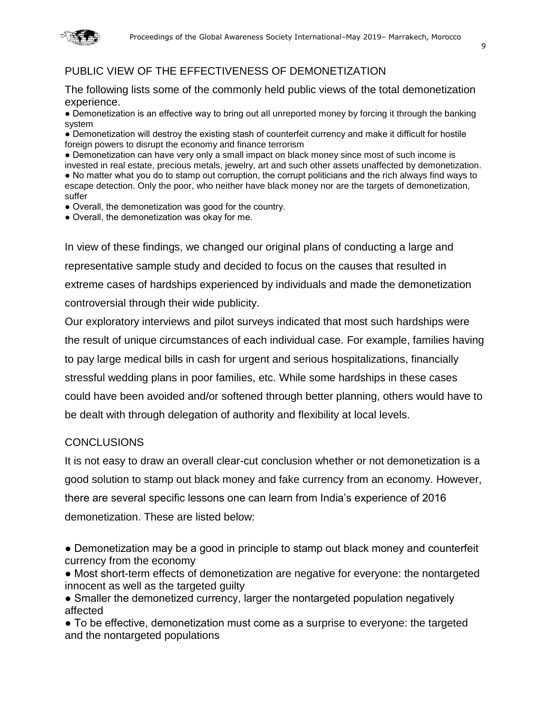

# PUBLIC VIEW OF THE EFFECTIVENESS OF DEMONETIZATION

The following lists some of the commonly held public views of the total demonetization experience.

● Demonetization is an effective way to bring out all unreported money by forcing it through the banking system

● Demonetization will destroy the existing stash of counterfeit currency and make it difficult for hostile foreign powers to disrupt the economy and finance terrorism

• Demonetization can have very only a small impact on black money since most of such income is invested in real estate, precious metals, jewelry, art and such other assets unaffected by demonetization. ● No matter what you do to stamp out corruption, the corrupt politicians and the rich always find ways to escape detection. Only the poor, who neither have black money nor are the targets of demonetization, suffer

● Overall, the demonetization was good for the country.

● Overall, the demonetization was okay for me.

In view of these findings, we changed our original plans of conducting a large and representative sample study and decided to focus on the causes that resulted in extreme cases of hardships experienced by individuals and made the demonetization controversial through their wide publicity.

Our exploratory interviews and pilot surveys indicated that most such hardships were the result of unique circumstances of each individual case. For example, families having to pay large medical bills in cash for urgent and serious hospitalizations, financially stressful wedding plans in poor families, etc. While some hardships in these cases could have been avoided and/or softened through better planning, others would have to be dealt with through delegation of authority and flexibility at local levels.

## **CONCLUSIONS**

It is not easy to draw an overall clear-cut conclusion whether or not demonetization is a good solution to stamp out black money and fake currency from an economy. However, there are several specific lessons one can learn from India's experience of 2016 demonetization. These are listed below:

● Demonetization may be a good in principle to stamp out black money and counterfeit currency from the economy

● Most short-term effects of demonetization are negative for everyone: the nontargeted innocent as well as the targeted guilty

• Smaller the demonetized currency, larger the nontargeted population negatively affected

● To be effective, demonetization must come as a surprise to everyone: the targeted and the nontargeted populations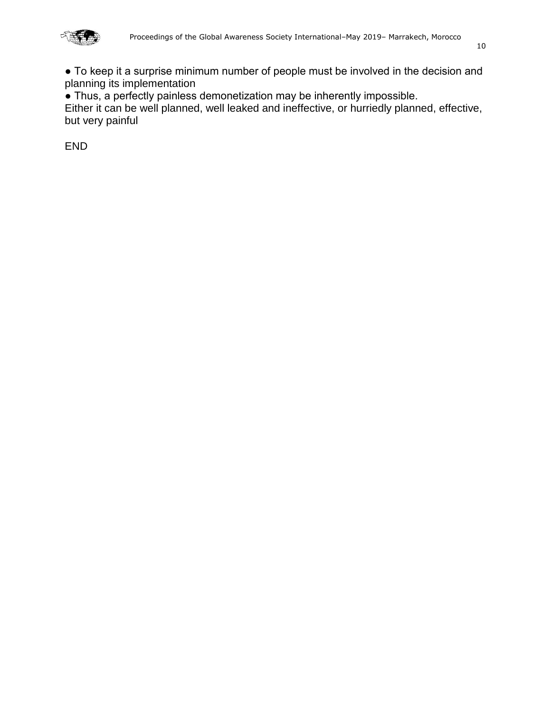

10

● Thus, a perfectly painless demonetization may be inherently impossible.

Either it can be well planned, well leaked and ineffective, or hurriedly planned, effective, but very painful

END